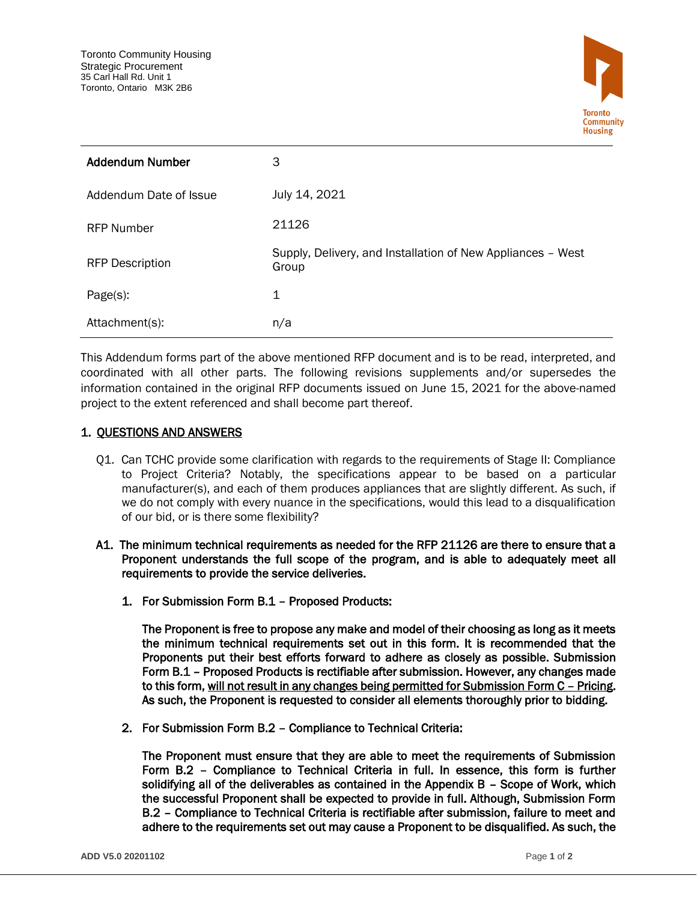

| <b>Addendum Number</b> | 3                                                                    |
|------------------------|----------------------------------------------------------------------|
| Addendum Date of Issue | July 14, 2021                                                        |
| <b>RFP Number</b>      | 21126                                                                |
| <b>RFP Description</b> | Supply, Delivery, and Installation of New Appliances - West<br>Group |
| Page(s):               | 1                                                                    |
| Attachment(s):         | n/a                                                                  |

This Addendum forms part of the above mentioned RFP document and is to be read, interpreted, and coordinated with all other parts. The following revisions supplements and/or supersedes the information contained in the original RFP documents issued on June 15, 2021 for the above-named project to the extent referenced and shall become part thereof.

## 1. QUESTIONS AND ANSWERS

Q1. Can TCHC provide some clarification with regards to the requirements of Stage II: Compliance to Project Criteria? Notably, the specifications appear to be based on a particular manufacturer(s), and each of them produces appliances that are slightly different. As such, if we do not comply with every nuance in the specifications, would this lead to a disqualification of our bid, or is there some flexibility?

## A1. The minimum technical requirements as needed for the RFP 21126 are there to ensure that a Proponent understands the full scope of the program, and is able to adequately meet all requirements to provide the service deliveries.

1. For Submission Form B.1 – Proposed Products:

The Proponent is free to propose any make and model of their choosing as long as it meets the minimum technical requirements set out in this form. It is recommended that the Proponents put their best efforts forward to adhere as closely as possible. Submission Form B.1 – Proposed Products is rectifiable after submission. However, any changes made to this form, will not result in any changes being permitted for Submission Form C - Pricing. As such, the Proponent is requested to consider all elements thoroughly prior to bidding.

2. For Submission Form B.2 – Compliance to Technical Criteria:

The Proponent must ensure that they are able to meet the requirements of Submission Form B.2 – Compliance to Technical Criteria in full. In essence, this form is further solidifying all of the deliverables as contained in the Appendix B – Scope of Work, which the successful Proponent shall be expected to provide in full. Although, Submission Form B.2 – Compliance to Technical Criteria is rectifiable after submission, failure to meet and adhere to the requirements set out may cause a Proponent to be disqualified. As such, the